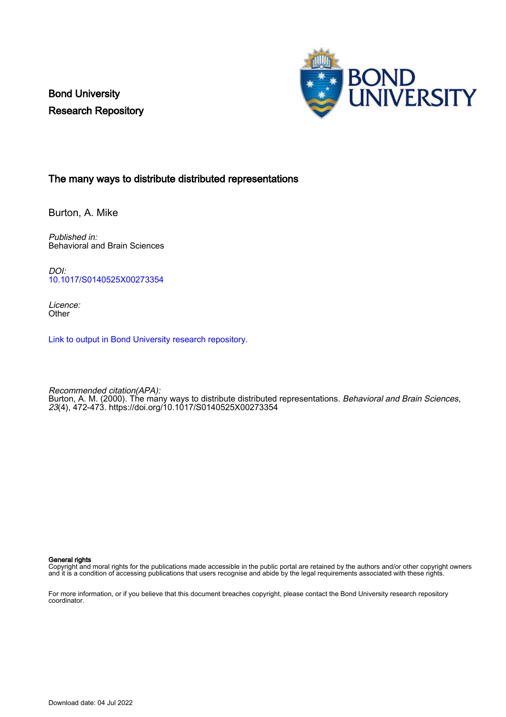Bond University Research Repository



#### The many ways to distribute distributed representations

Burton, A. Mike

Published in: Behavioral and Brain Sciences

DOI: [10.1017/S0140525X00273354](https://doi.org/10.1017/S0140525X00273354)

Licence: **Other** 

[Link to output in Bond University research repository.](https://research.bond.edu.au/en/publications/694d04e2-a0c5-401e-930d-ab90304fb559)

Recommended citation(APA): Burton, A. M. (2000). The many ways to distribute distributed representations. *Behavioral and Brain Sciences*, 23(4), 472-473.<https://doi.org/10.1017/S0140525X00273354>

#### General rights

Copyright and moral rights for the publications made accessible in the public portal are retained by the authors and/or other copyright owners and it is a condition of accessing publications that users recognise and abide by the legal requirements associated with these rights.

For more information, or if you believe that this document breaches copyright, please contact the Bond University research repository coordinator.